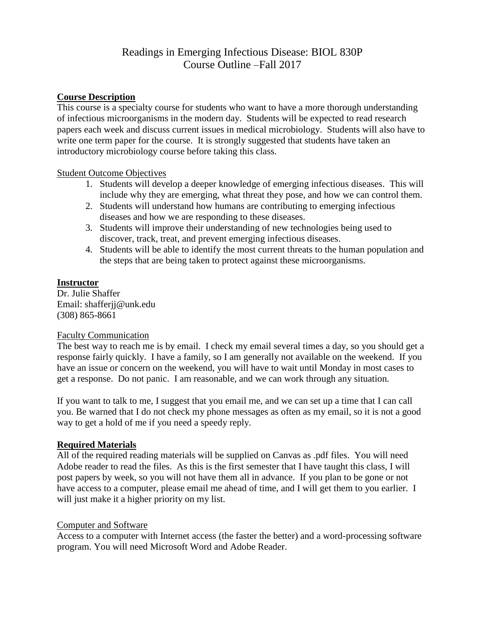# Readings in Emerging Infectious Disease: BIOL 830P Course Outline –Fall 2017

### **Course Description**

This course is a specialty course for students who want to have a more thorough understanding of infectious microorganisms in the modern day. Students will be expected to read research papers each week and discuss current issues in medical microbiology. Students will also have to write one term paper for the course. It is strongly suggested that students have taken an introductory microbiology course before taking this class.

#### Student Outcome Objectives

- 1. Students will develop a deeper knowledge of emerging infectious diseases. This will include why they are emerging, what threat they pose, and how we can control them.
- 2. Students will understand how humans are contributing to emerging infectious diseases and how we are responding to these diseases.
- 3. Students will improve their understanding of new technologies being used to discover, track, treat, and prevent emerging infectious diseases.
- 4. Students will be able to identify the most current threats to the human population and the steps that are being taken to protect against these microorganisms.

#### **Instructor**

Dr. Julie Shaffer Email: shafferjj@unk.edu (308) 865-8661

#### Faculty Communication

The best way to reach me is by email. I check my email several times a day, so you should get a response fairly quickly. I have a family, so I am generally not available on the weekend. If you have an issue or concern on the weekend, you will have to wait until Monday in most cases to get a response. Do not panic. I am reasonable, and we can work through any situation.

If you want to talk to me, I suggest that you email me, and we can set up a time that I can call you. Be warned that I do not check my phone messages as often as my email, so it is not a good way to get a hold of me if you need a speedy reply.

### **Required Materials**

All of the required reading materials will be supplied on Canvas as .pdf files. You will need Adobe reader to read the files. As this is the first semester that I have taught this class, I will post papers by week, so you will not have them all in advance. If you plan to be gone or not have access to a computer, please email me ahead of time, and I will get them to you earlier. I will just make it a higher priority on my list.

#### Computer and Software

Access to a computer with Internet access (the faster the better) and a word-processing software program. You will need Microsoft Word and Adobe Reader.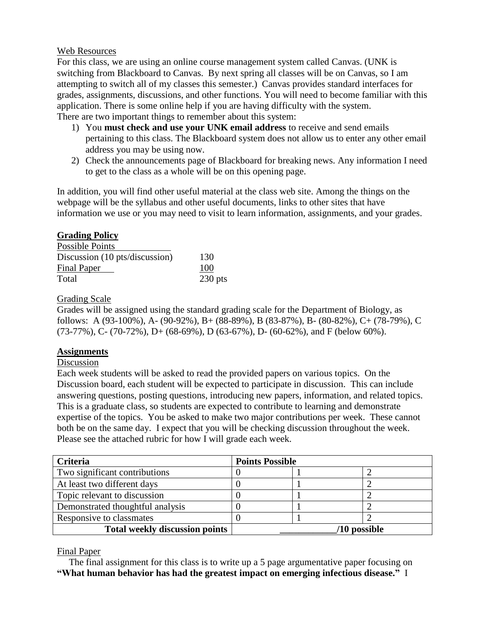#### Web Resources

For this class, we are using an online course management system called Canvas. (UNK is switching from Blackboard to Canvas. By next spring all classes will be on Canvas, so I am attempting to switch all of my classes this semester.) Canvas provides standard interfaces for grades, assignments, discussions, and other functions. You will need to become familiar with this application. There is some online help if you are having difficulty with the system. There are two important things to remember about this system:

- 1) You **must check and use your UNK email address** to receive and send emails pertaining to this class. The Blackboard system does not allow us to enter any other email address you may be using now.
- 2) Check the announcements page of Blackboard for breaking news. Any information I need to get to the class as a whole will be on this opening page.

In addition, you will find other useful material at the class web site. Among the things on the webpage will be the syllabus and other useful documents, links to other sites that have information we use or you may need to visit to learn information, assignments, and your grades.

### **Grading Policy**

| <b>Possible Points</b>         |           |
|--------------------------------|-----------|
| Discussion (10 pts/discussion) | 130       |
| <b>Final Paper</b>             | 100       |
| Total                          | $230$ pts |

### Grading Scale

Grades will be assigned using the standard grading scale for the Department of Biology, as follows: A (93-100%), A- (90-92%), B+ (88-89%), B (83-87%), B- (80-82%), C+ (78-79%), C  $(73-77\%)$ , C-  $(70-72\%)$ , D+  $(68-69\%)$ , D $(63-67\%)$ , D-  $(60-62\%)$ , and F (below 60%).

### **Assignments**

### Discussion

Each week students will be asked to read the provided papers on various topics. On the Discussion board, each student will be expected to participate in discussion. This can include answering questions, posting questions, introducing new papers, information, and related topics. This is a graduate class, so students are expected to contribute to learning and demonstrate expertise of the topics. You be asked to make two major contributions per week. These cannot both be on the same day. I expect that you will be checking discussion throughout the week. Please see the attached rubric for how I will grade each week.

| <b>Criteria</b>                       | <b>Points Possible</b> |  |  |
|---------------------------------------|------------------------|--|--|
| Two significant contributions         |                        |  |  |
| At least two different days           |                        |  |  |
| Topic relevant to discussion          |                        |  |  |
| Demonstrated thoughtful analysis      |                        |  |  |
| Responsive to classmates              |                        |  |  |
| <b>Total weekly discussion points</b> | '10 possible           |  |  |

#### Final Paper

 The final assignment for this class is to write up a 5 page argumentative paper focusing on **"What human behavior has had the greatest impact on emerging infectious disease."** I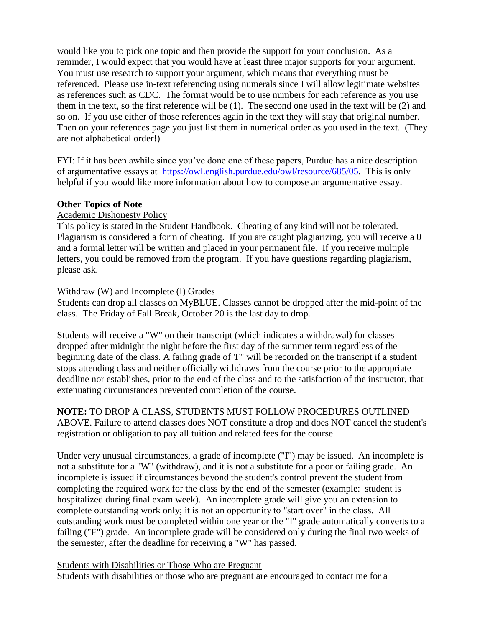would like you to pick one topic and then provide the support for your conclusion. As a reminder, I would expect that you would have at least three major supports for your argument. You must use research to support your argument, which means that everything must be referenced. Please use in-text referencing using numerals since I will allow legitimate websites as references such as CDC. The format would be to use numbers for each reference as you use them in the text, so the first reference will be (1). The second one used in the text will be (2) and so on. If you use either of those references again in the text they will stay that original number. Then on your references page you just list them in numerical order as you used in the text. (They are not alphabetical order!)

FYI: If it has been awhile since you've done one of these papers, Purdue has a nice description of argumentative essays at [https://owl.english.purdue.edu/owl/resource/685/05.](https://owl.english.purdue.edu/owl/resource/685/05) This is only helpful if you would like more information about how to compose an argumentative essay.

#### **Other Topics of Note**

#### Academic Dishonesty Policy

This policy is stated in the Student Handbook. Cheating of any kind will not be tolerated. Plagiarism is considered a form of cheating. If you are caught plagiarizing, you will receive a 0 and a formal letter will be written and placed in your permanent file. If you receive multiple letters, you could be removed from the program. If you have questions regarding plagiarism, please ask.

#### Withdraw (W) and Incomplete (I) Grades

Students can drop all classes on MyBLUE. Classes cannot be dropped after the mid-point of the class. The Friday of Fall Break, October 20 is the last day to drop.

Students will receive a "W" on their transcript (which indicates a withdrawal) for classes dropped after midnight the night before the first day of the summer term regardless of the beginning date of the class. A failing grade of 'F" will be recorded on the transcript if a student stops attending class and neither officially withdraws from the course prior to the appropriate deadline nor establishes, prior to the end of the class and to the satisfaction of the instructor, that extenuating circumstances prevented completion of the course.

**NOTE:** TO DROP A CLASS, STUDENTS MUST FOLLOW PROCEDURES OUTLINED ABOVE. Failure to attend classes does NOT constitute a drop and does NOT cancel the student's registration or obligation to pay all tuition and related fees for the course.

Under very unusual circumstances, a grade of incomplete ("I") may be issued. An incomplete is not a substitute for a "W" (withdraw), and it is not a substitute for a poor or failing grade. An incomplete is issued if circumstances beyond the student's control prevent the student from completing the required work for the class by the end of the semester (example: student is hospitalized during final exam week). An incomplete grade will give you an extension to complete outstanding work only; it is not an opportunity to "start over" in the class. All outstanding work must be completed within one year or the "I" grade automatically converts to a failing ("F") grade. An incomplete grade will be considered only during the final two weeks of the semester, after the deadline for receiving a "W" has passed.

#### Students with Disabilities or Those Who are Pregnant

Students with disabilities or those who are pregnant are encouraged to contact me for a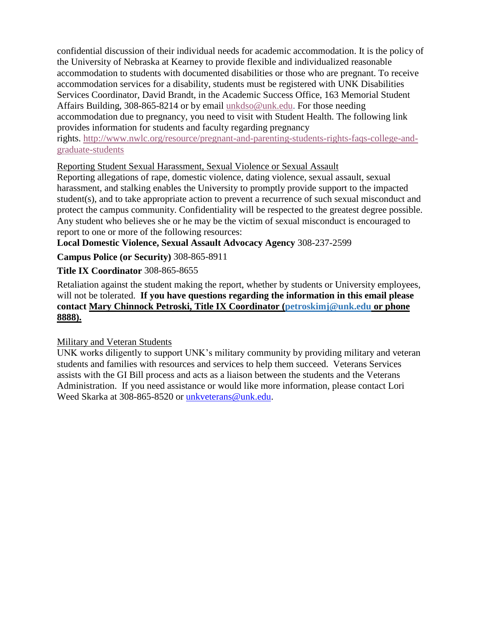confidential discussion of their individual needs for academic accommodation. It is the policy of the University of Nebraska at Kearney to provide flexible and individualized reasonable accommodation to students with documented disabilities or those who are pregnant. To receive accommodation services for a disability, students must be registered with UNK Disabilities Services Coordinator, David Brandt, in the Academic Success Office, 163 Memorial Student Affairs Building, 308-865-8214 or by email [unkdso@unk.edu.](mailto:unkdso@unk.edu) For those needing accommodation due to pregnancy, you need to visit with Student Health. The following link provides information for students and faculty regarding pregnancy rights. [http://www.nwlc.org/resource/pregnant-and-parenting-students-rights-faqs-college-and](https://urldefense.proofpoint.com/v2/url?u=http-3A__www.nwlc.org_resource_pregnant-2Dand-2Dparenting-2Dstudents-2Drights-2Dfaqs-2Dcollege-2Dand-2Dgraduate-2Dstudents&d=DwMFAg&c=9ZQuuHhOefNvAzlN-3viIA&r=a4_8X6kryBnhde98Akb_Ttea9wLW_NzrYD8CsNoSNMI&m=QtaGiwwueLLtJxh-yu-t040HblhMlx752lXuRZRJU1c&s=KLLtRExxtzPg_sk3VunbmLWe0bjBuQaHClmc0-_uu2w&e=)[graduate-students](https://urldefense.proofpoint.com/v2/url?u=http-3A__www.nwlc.org_resource_pregnant-2Dand-2Dparenting-2Dstudents-2Drights-2Dfaqs-2Dcollege-2Dand-2Dgraduate-2Dstudents&d=DwMFAg&c=9ZQuuHhOefNvAzlN-3viIA&r=a4_8X6kryBnhde98Akb_Ttea9wLW_NzrYD8CsNoSNMI&m=QtaGiwwueLLtJxh-yu-t040HblhMlx752lXuRZRJU1c&s=KLLtRExxtzPg_sk3VunbmLWe0bjBuQaHClmc0-_uu2w&e=)

### Reporting Student Sexual Harassment, Sexual Violence or Sexual Assault

Reporting allegations of rape, domestic violence, dating violence, sexual assault, sexual harassment, and stalking enables the University to promptly provide support to the impacted student(s), and to take appropriate action to prevent a recurrence of such sexual misconduct and protect the campus community. Confidentiality will be respected to the greatest degree possible. Any student who believes she or he may be the victim of sexual misconduct is encouraged to report to one or more of the following resources:

**Local Domestic Violence, Sexual Assault Advocacy Agency** 308-237-2599

**Campus Police (or Security)** 308-865-8911

## **Title IX Coordinator** 308-865-8655

Retaliation against the student making the report, whether by students or University employees, will not be tolerated. **If you have questions regarding the information in this email please contact Mary Chinnock Petroski, Title IX Coordinator [\(petroskimj@unk.edu](mailto:petroskimj@unk.edu) or phone 8888).**

### Military and Veteran Students

UNK works diligently to support UNK's military community by providing military and veteran students and families with resources and services to help them succeed. Veterans Services assists with the GI Bill process and acts as a liaison between the students and the Veterans Administration. If you need assistance or would like more information, please contact Lori Weed Skarka at 308-865-8520 or [unkveterans@unk.edu.](mailto:unkveterans@unk.edu)